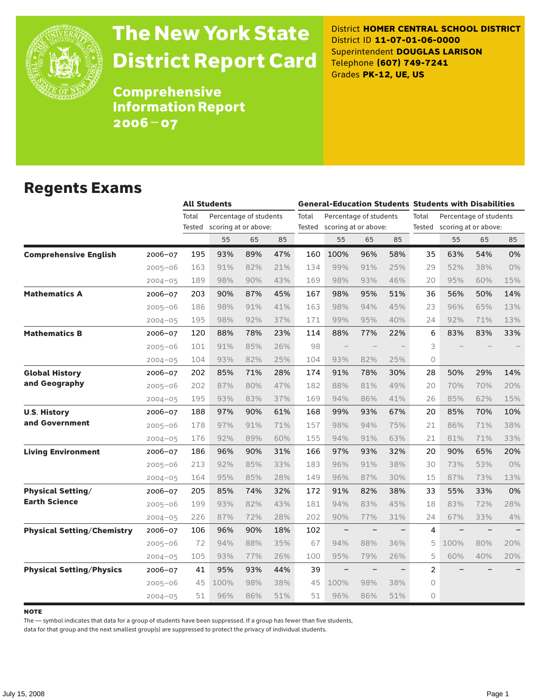

# The New York State District Report Card

District **HOMER CENTRAL SCHOOL DISTRICT** District ID **11-07-01-06-0000** Superintendent **DOUGLAS LARISON** Telephone **(607) 749-7241** Grades **PK-12, UE, US**

Comprehensive Information Report 2006–07

#### Regents Exams

|                                   |             |        | <b>All Students</b>    |     |     |       |                             |                          |                          | <b>General-Education Students Students with Disabilities</b> |                             |     |     |
|-----------------------------------|-------------|--------|------------------------|-----|-----|-------|-----------------------------|--------------------------|--------------------------|--------------------------------------------------------------|-----------------------------|-----|-----|
|                                   |             | Total  | Percentage of students |     |     | Total | Percentage of students      |                          |                          | Total<br>Percentage of students                              |                             |     |     |
|                                   |             | Tested | scoring at or above:   |     |     |       | Tested scoring at or above: |                          |                          |                                                              | Tested scoring at or above: |     |     |
|                                   |             |        | 55                     | 65  | 85  |       | 55                          | 65                       | 85                       |                                                              | 55                          | 65  | 85  |
| <b>Comprehensive English</b>      | 2006-07     | 195    | 93%                    | 89% | 47% | 160   | 100%                        | 96%                      | 58%                      | 35                                                           | 63%                         | 54% | 0%  |
|                                   | $2005 - 06$ | 163    | 91%                    | 82% | 21% | 134   | 99%                         | 91%                      | 25%                      | 29                                                           | 52%                         | 38% | 0%  |
|                                   | $2004 - 05$ | 189    | 98%                    | 90% | 43% | 169   | 98%                         | 93%                      | 46%                      | 20                                                           | 95%                         | 60% | 15% |
| <b>Mathematics A</b>              | 2006-07     | 203    | 90%                    | 87% | 45% | 167   | 98%                         | 95%                      | 51%                      | 36                                                           | 56%                         | 50% | 14% |
|                                   | $2005 - 06$ | 186    | 98%                    | 91% | 41% | 163   | 98%                         | 94%                      | 45%                      | 23                                                           | 96%                         | 65% | 13% |
|                                   | $2004 - 05$ | 195    | 98%                    | 92% | 37% | 171   | 99%                         | 95%                      | 40%                      | 24                                                           | 92%                         | 71% | 13% |
| <b>Mathematics B</b>              | 2006-07     | 120    | 88%                    | 78% | 23% | 114   | 88%                         | 77%                      | 22%                      | 6                                                            | 83%                         | 83% | 33% |
|                                   | $2005 - 06$ | 101    | 91%                    | 85% | 26% | 98    |                             |                          |                          | 3                                                            |                             |     |     |
|                                   | $2004 - 05$ | 104    | 93%                    | 82% | 25% | 104   | 93%                         | 82%                      | 25%                      | 0                                                            |                             |     |     |
| <b>Global History</b>             | 2006-07     | 202    | 85%                    | 71% | 28% | 174   | 91%                         | 78%                      | 30%                      | 28                                                           | 50%                         | 29% | 14% |
| and Geography                     | $2005 - 06$ | 202    | 87%                    | 80% | 47% | 182   | 88%                         | 81%                      | 49%                      | 20                                                           | 70%                         | 70% | 20% |
|                                   | $2004 - 05$ | 195    | 93%                    | 83% | 37% | 169   | 94%                         | 86%                      | 41%                      | 26                                                           | 85%                         | 62% | 15% |
| <b>U.S. History</b>               | 2006-07     | 188    | 97%                    | 90% | 61% | 168   | 99%                         | 93%                      | 67%                      | 20                                                           | 85%                         | 70% | 10% |
| and Government                    | $2005 - 06$ | 178    | 97%                    | 91% | 71% | 157   | 98%                         | 94%                      | 75%                      | 21                                                           | 86%                         | 71% | 38% |
|                                   | $2004 - 05$ | 176    | 92%                    | 89% | 60% | 155   | 94%                         | 91%                      | 63%                      | 21                                                           | 81%                         | 71% | 33% |
| <b>Living Environment</b>         | 2006-07     | 186    | 96%                    | 90% | 31% | 166   | 97%                         | 93%                      | 32%                      | 20                                                           | 90%                         | 65% | 20% |
|                                   | $2005 - 06$ | 213    | 92%                    | 85% | 33% | 183   | 96%                         | 91%                      | 38%                      | 30                                                           | 73%                         | 53% | 0%  |
|                                   | $2004 - 05$ | 164    | 95%                    | 85% | 28% | 149   | 96%                         | 87%                      | 30%                      | 15                                                           | 87%                         | 73% | 13% |
| <b>Physical Setting/</b>          | 2006-07     | 205    | 85%                    | 74% | 32% | 172   | 91%                         | 82%                      | 38%                      | 33                                                           | 55%                         | 33% | 0%  |
| <b>Earth Science</b>              | $2005 - 06$ | 199    | 93%                    | 82% | 43% | 181   | 94%                         | 83%                      | 45%                      | 18                                                           | 83%                         | 72% | 28% |
|                                   | $2004 - 05$ | 226    | 87%                    | 72% | 28% | 202   | 90%                         | 77%                      | 31%                      | 24                                                           | 67%                         | 33% | 4%  |
| <b>Physical Setting/Chemistry</b> | 2006-07     | 106    | 96%                    | 90% | 18% | 102   | $\qquad \qquad -$           |                          |                          | 4                                                            | $\overline{\phantom{0}}$    |     |     |
|                                   | $2005 - 06$ | 72     | 94%                    | 88% | 35% | 67    | 94%                         | 88%                      | 36%                      | 5                                                            | 100%                        | 80% | 20% |
|                                   | $2004 - 05$ | 105    | 93%                    | 77% | 26% | 100   | 95%                         | 79%                      | 26%                      | 5                                                            | 60%                         | 40% | 20% |
| <b>Physical Setting/Physics</b>   | 2006-07     | 41     | 95%                    | 93% | 44% | 39    | $-$                         | $\overline{\phantom{0}}$ | $\overline{\phantom{0}}$ | $\overline{c}$                                               |                             |     |     |
|                                   | $2005 - 06$ | 45     | 100%                   | 98% | 38% | 45    | 100%                        | 98%                      | 38%                      | $\circ$                                                      |                             |     |     |
|                                   | $2004 - 05$ | 51     | 96%                    | 86% | 51% | 51    | 96%                         | 86%                      | 51%                      | $\Omega$                                                     |                             |     |     |

**NOTE** 

The — symbol indicates that data for a group of students have been suppressed. If a group has fewer than five students,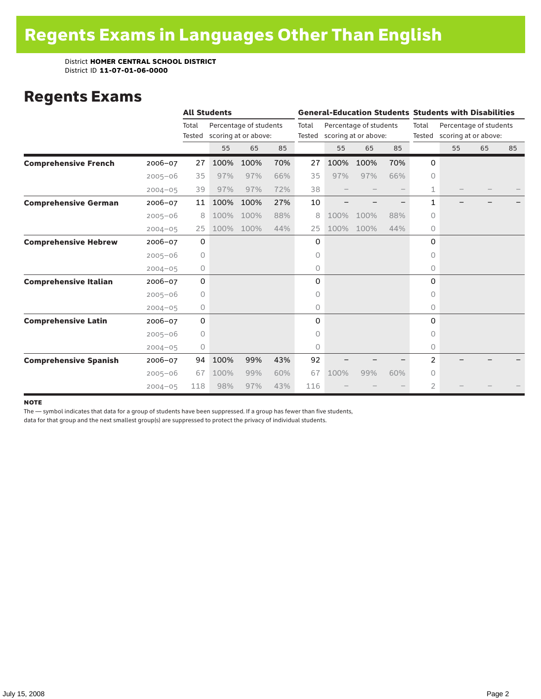### Regents Exams

|                              |             |                 | <b>All Students</b> |                                                |     |                 | <b>General-Education Students Students with Disabilities</b> |                                                |     |                 |                                                |    |    |  |
|------------------------------|-------------|-----------------|---------------------|------------------------------------------------|-----|-----------------|--------------------------------------------------------------|------------------------------------------------|-----|-----------------|------------------------------------------------|----|----|--|
|                              |             | Total<br>Tested |                     | Percentage of students<br>scoring at or above: |     | Total<br>Tested |                                                              | Percentage of students<br>scoring at or above: |     | Total<br>Tested | Percentage of students<br>scoring at or above: |    |    |  |
|                              |             |                 | 55                  | 65                                             | 85  |                 | 55                                                           | 65                                             | 85  |                 | 55                                             | 65 | 85 |  |
| <b>Comprehensive French</b>  | $2006 - 07$ | 27              | 100%                | 100%                                           | 70% | 27              | 100%                                                         | 100%                                           | 70% | 0               |                                                |    |    |  |
|                              | $2005 - 06$ | 35              | 97%                 | 97%                                            | 66% | 35              | 97%                                                          | 97%                                            | 66% | $\Omega$        |                                                |    |    |  |
|                              | $2004 - 05$ | 39              | 97%                 | 97%                                            | 72% | 38              |                                                              |                                                |     | 1               |                                                |    |    |  |
| <b>Comprehensive German</b>  | $2006 - 07$ | 11              | 100%                | 100%                                           | 27% | 10              |                                                              |                                                |     | $\mathbf{1}$    |                                                |    |    |  |
|                              | $2005 - 06$ | 8               | 100%                | 100%                                           | 88% | 8               | 100%                                                         | 100%                                           | 88% | 0               |                                                |    |    |  |
|                              | $2004 - 05$ | 25              | 100%                | 100%                                           | 44% | 25              | 100%                                                         | 100%                                           | 44% | 0               |                                                |    |    |  |
| <b>Comprehensive Hebrew</b>  | $2006 - 07$ | 0               |                     |                                                |     | 0               |                                                              |                                                |     | 0               |                                                |    |    |  |
|                              | $2005 - 06$ | 0               |                     |                                                |     | 0               |                                                              |                                                |     | 0               |                                                |    |    |  |
|                              | $2004 - 05$ | 0               |                     |                                                |     | 0               |                                                              |                                                |     | 0               |                                                |    |    |  |
| <b>Comprehensive Italian</b> | $2006 - 07$ | 0               |                     |                                                |     | 0               |                                                              |                                                |     | 0               |                                                |    |    |  |
|                              | $2005 - 06$ | 0               |                     |                                                |     | 0               |                                                              |                                                |     | $\Omega$        |                                                |    |    |  |
|                              | $2004 - 05$ | 0               |                     |                                                |     | 0               |                                                              |                                                |     | $\circ$         |                                                |    |    |  |
| <b>Comprehensive Latin</b>   | $2006 - 07$ | $\mathbf 0$     |                     |                                                |     | 0               |                                                              |                                                |     | 0               |                                                |    |    |  |
|                              | $2005 - 06$ | 0               |                     |                                                |     | 0               |                                                              |                                                |     | $\bigcap$       |                                                |    |    |  |
|                              | $2004 - 05$ | 0               |                     |                                                |     | 0               |                                                              |                                                |     | $\circ$         |                                                |    |    |  |
| <b>Comprehensive Spanish</b> | $2006 - 07$ | 94              | 100%                | 99%                                            | 43% | 92              |                                                              |                                                |     | 2               |                                                |    |    |  |
|                              | $2005 - 06$ | 67              | 100%                | 99%                                            | 60% | 67              | 100%                                                         | 99%                                            | 60% | 0               |                                                |    |    |  |
|                              | $2004 - 05$ | 118             | 98%                 | 97%                                            | 43% | 116             |                                                              |                                                |     | 2               |                                                |    |    |  |

#### **NOTE**

The — symbol indicates that data for a group of students have been suppressed. If a group has fewer than five students,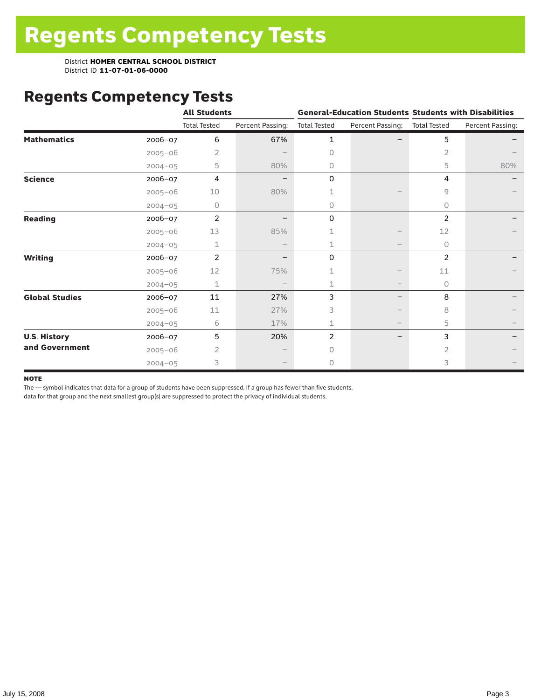# Regents Competency Tests

|                       |             | <b>All Students</b> |                  |                     |                          | <b>General-Education Students Students with Disabilities</b> |                  |  |
|-----------------------|-------------|---------------------|------------------|---------------------|--------------------------|--------------------------------------------------------------|------------------|--|
|                       |             | <b>Total Tested</b> | Percent Passing: | <b>Total Tested</b> | Percent Passing:         | <b>Total Tested</b>                                          | Percent Passing: |  |
| <b>Mathematics</b>    | $2006 - 07$ | 6                   | 67%              | 1                   |                          | 5                                                            |                  |  |
|                       | $2005 - 06$ | 2                   |                  | $\Omega$            |                          | 2                                                            |                  |  |
|                       | $2004 - 05$ | 5                   | 80%              | 0                   |                          | 5                                                            | 80%              |  |
| <b>Science</b>        | 2006-07     | 4                   |                  | 0                   |                          | 4                                                            |                  |  |
|                       | $2005 - 06$ | 10                  | 80%              |                     |                          | 9                                                            |                  |  |
|                       | $2004 - 05$ | 0                   |                  | 0                   |                          | 0                                                            |                  |  |
| <b>Reading</b>        | 2006-07     | $\overline{2}$      |                  | 0                   |                          | 2                                                            |                  |  |
|                       | $2005 - 06$ | 13                  | 85%              |                     |                          | 12                                                           |                  |  |
|                       | $2004 - 05$ | 1                   |                  | 1                   |                          | $\circ$                                                      |                  |  |
| <b>Writing</b>        | 2006-07     | 2                   |                  | 0                   |                          | $\overline{2}$                                               |                  |  |
|                       | $2005 - 06$ | 12                  | 75%              |                     |                          | 11                                                           |                  |  |
|                       | $2004 - 05$ | 1                   |                  | 1                   | $\overline{\phantom{m}}$ | 0                                                            |                  |  |
| <b>Global Studies</b> | 2006-07     | 11                  | 27%              | 3                   |                          | 8                                                            |                  |  |
|                       | $2005 - 06$ | 11                  | 27%              | 3                   |                          | 8                                                            |                  |  |
|                       | $2004 - 05$ | 6                   | 17%              |                     |                          | 5                                                            |                  |  |
| <b>U.S. History</b>   | 2006-07     | 5                   | 20%              | 2                   |                          | 3                                                            |                  |  |
| and Government        | $2005 - 06$ | $\overline{2}$      |                  | $\bigcap$           |                          | $\overline{2}$                                               |                  |  |
|                       | $2004 - 05$ | 3                   |                  | 0                   |                          | 3                                                            |                  |  |

#### **NOTE**

The — symbol indicates that data for a group of students have been suppressed. If a group has fewer than five students,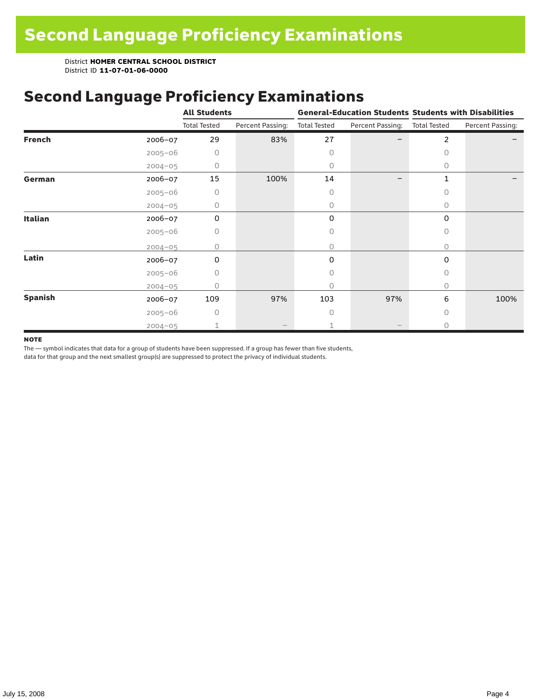### Second Language Proficiency Examinations

|                |             | <b>All Students</b> |                  |                     |                  | <b>General-Education Students Students with Disabilities</b> |                  |  |
|----------------|-------------|---------------------|------------------|---------------------|------------------|--------------------------------------------------------------|------------------|--|
|                |             | <b>Total Tested</b> | Percent Passing: | <b>Total Tested</b> | Percent Passing: | <b>Total Tested</b>                                          | Percent Passing: |  |
| <b>French</b>  | 2006-07     | 29                  | 83%              | 27                  |                  | $\overline{2}$                                               |                  |  |
|                | $2005 - 06$ | 0                   |                  | 0                   |                  | $\Omega$                                                     |                  |  |
|                | $2004 - 05$ | 0                   |                  | 0                   |                  | 0                                                            |                  |  |
| German         | 2006-07     | 15                  | 100%             | 14                  |                  | $\mathbf 1$                                                  |                  |  |
|                | $2005 - 06$ | 0                   |                  | 0                   |                  | $\bigcap$                                                    |                  |  |
|                | $2004 - 05$ | 0                   |                  | 0                   |                  | 0                                                            |                  |  |
| Italian        | 2006-07     | 0                   |                  | 0                   |                  | 0                                                            |                  |  |
|                | $2005 - 06$ | 0                   |                  | 0                   |                  | 0                                                            |                  |  |
|                | $2004 - 05$ | Ω                   |                  | 0                   |                  | $\Omega$                                                     |                  |  |
| Latin          | $2006 - 07$ | 0                   |                  | 0                   |                  | 0                                                            |                  |  |
|                | $2005 - 06$ | 0                   |                  | 0                   |                  | $\Omega$                                                     |                  |  |
|                | $2004 - 05$ |                     |                  | 0                   |                  | $\circ$                                                      |                  |  |
| <b>Spanish</b> | 2006-07     | 109                 | 97%              | 103                 | 97%              | 6                                                            | 100%             |  |
|                | $2005 - 06$ | O                   |                  | O                   |                  | $\bigcap$                                                    |                  |  |
|                | $2004 - 05$ |                     |                  |                     |                  | $\bigcap$                                                    |                  |  |

#### **NOTE**

The — symbol indicates that data for a group of students have been suppressed. If a group has fewer than five students,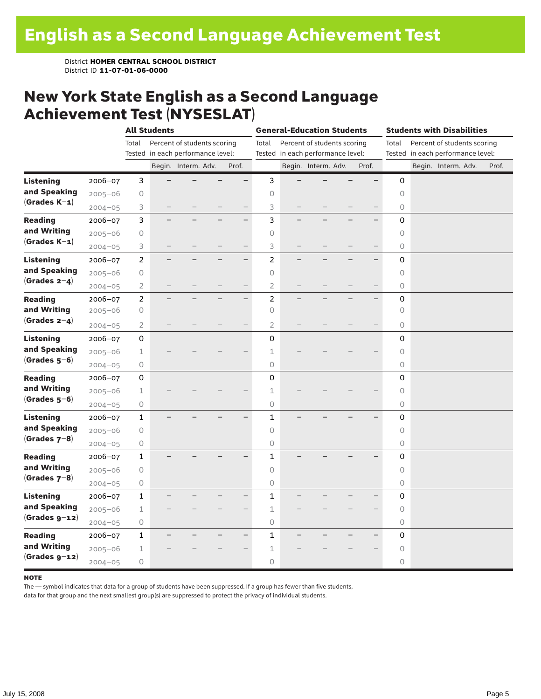#### New York State English as a Second Language Achievement Test (NYSESLAT)

|                  |             |                | <b>All Students</b>      |                                   |  | <b>General-Education Students</b> |                |  |                                   | <b>Students with Disabilities</b> |       |                                      |  |                                   |  |       |
|------------------|-------------|----------------|--------------------------|-----------------------------------|--|-----------------------------------|----------------|--|-----------------------------------|-----------------------------------|-------|--------------------------------------|--|-----------------------------------|--|-------|
|                  |             | Total          |                          | Percent of students scoring       |  |                                   | Total          |  | Percent of students scoring       |                                   |       | Percent of students scoring<br>Total |  |                                   |  |       |
|                  |             |                |                          | Tested in each performance level: |  |                                   |                |  | Tested in each performance level: |                                   |       |                                      |  | Tested in each performance level: |  |       |
|                  |             |                |                          | Begin. Interm. Adv.               |  | Prof.                             |                |  | Begin. Interm. Adv.               |                                   | Prof. |                                      |  | Begin. Interm. Adv.               |  | Prof. |
| <b>Listening</b> | 2006-07     | 3              |                          |                                   |  |                                   | 3              |  |                                   |                                   |       | 0                                    |  |                                   |  |       |
| and Speaking     | $2005 - 06$ | 0              |                          |                                   |  |                                   | $\circ$        |  |                                   |                                   |       | $\circ$                              |  |                                   |  |       |
| $(Grades K-1)$   | $2004 - 05$ | 3              |                          |                                   |  |                                   | 3              |  |                                   |                                   |       | 0                                    |  |                                   |  |       |
| <b>Reading</b>   | 2006-07     | 3              |                          |                                   |  |                                   | 3              |  |                                   |                                   |       | 0                                    |  |                                   |  |       |
| and Writing      | $2005 - 06$ | $\bigcirc$     |                          |                                   |  |                                   | $\circ$        |  |                                   |                                   |       | 0                                    |  |                                   |  |       |
| $(Grades K-1)$   | $2004 - 05$ | 3              |                          |                                   |  |                                   | 3              |  |                                   |                                   |       | 0                                    |  |                                   |  |       |
| <b>Listening</b> | 2006-07     | $\overline{c}$ |                          |                                   |  | $\overline{\phantom{0}}$          | $\overline{c}$ |  |                                   |                                   |       | 0                                    |  |                                   |  |       |
| and Speaking     | $2005 - 06$ | $\bigcirc$     |                          |                                   |  |                                   | $\circ$        |  |                                   |                                   |       | $\circ$                              |  |                                   |  |       |
| $(Grades 2-4)$   | $2004 - 05$ | 2              | $\overline{\phantom{0}}$ |                                   |  | $\overline{\phantom{0}}$          | $\overline{2}$ |  |                                   |                                   |       | 0                                    |  |                                   |  |       |
| <b>Reading</b>   | 2006-07     | $\overline{c}$ |                          |                                   |  | $\overline{\phantom{0}}$          | $\overline{c}$ |  |                                   |                                   |       | $\mathsf 0$                          |  |                                   |  |       |
| and Writing      | $2005 - 06$ | 0              |                          |                                   |  |                                   | $\circ$        |  |                                   |                                   |       | $\circlearrowright$                  |  |                                   |  |       |
| (Grades $2-4$ )  | $2004 - 05$ | $\overline{2}$ |                          |                                   |  |                                   | $\overline{2}$ |  |                                   |                                   |       | 0                                    |  |                                   |  |       |
| <b>Listening</b> | 2006-07     | 0              |                          |                                   |  |                                   | $\overline{0}$ |  |                                   |                                   |       | 0                                    |  |                                   |  |       |
| and Speaking     | $2005 - 06$ | $\mathbf 1$    |                          |                                   |  |                                   | 1              |  |                                   |                                   |       | $\circ$                              |  |                                   |  |       |
| $(Grades 5-6)$   | $2004 - 05$ | $\bigcirc$     |                          |                                   |  |                                   | 0              |  |                                   |                                   |       | 0                                    |  |                                   |  |       |
| <b>Reading</b>   | 2006-07     | 0              |                          |                                   |  |                                   | $\mathsf 0$    |  |                                   |                                   |       | $\mathsf 0$                          |  |                                   |  |       |
| and Writing      | $2005 - 06$ | $\mathbf 1$    |                          |                                   |  |                                   | $1\,$          |  |                                   |                                   |       | $\circ$                              |  |                                   |  |       |
| $(Grades 5-6)$   | $2004 - 05$ | 0              |                          |                                   |  |                                   | $\bigcirc$     |  |                                   |                                   |       | 0                                    |  |                                   |  |       |
| <b>Listening</b> | $2006 - 07$ | $\mathbf{1}$   |                          |                                   |  |                                   | $\mathbf{1}$   |  |                                   |                                   |       | $\mathbf 0$                          |  |                                   |  |       |
| and Speaking     | $2005 - 06$ | $\circ$        |                          |                                   |  |                                   | $\circ$        |  |                                   |                                   |       | $\circ$                              |  |                                   |  |       |
| $(Grades 7-8)$   | $2004 - 05$ | 0              |                          |                                   |  |                                   | 0              |  |                                   |                                   |       | 0                                    |  |                                   |  |       |
| <b>Reading</b>   | 2006-07     | $\mathbf{1}$   |                          |                                   |  |                                   | $\mathbf{1}$   |  |                                   |                                   |       | 0                                    |  |                                   |  |       |
| and Writing      | $2005 - 06$ | $\bigcirc$     |                          |                                   |  |                                   | $\circ$        |  |                                   |                                   |       | 0                                    |  |                                   |  |       |
| $(Grades 7-8)$   | $2004 - 05$ | $\bigcirc$     |                          |                                   |  |                                   | 0              |  |                                   |                                   |       | 0                                    |  |                                   |  |       |
| <b>Listening</b> | 2006-07     | $\mathbf 1$    |                          |                                   |  | $\overline{\phantom{0}}$          | $\mathbf{1}$   |  |                                   |                                   |       | $\mathbf 0$                          |  |                                   |  |       |
| and Speaking     | $2005 - 06$ | $\mathbf 1$    |                          |                                   |  |                                   | $\mathbf 1$    |  |                                   |                                   |       | $\circ$                              |  |                                   |  |       |
| $(Grades g-12)$  | $2004 - 05$ | $\bigcirc$     |                          |                                   |  |                                   | $\mathsf O$    |  |                                   |                                   |       | 0                                    |  |                                   |  |       |
| <b>Reading</b>   | 2006-07     | $\mathbf 1$    |                          |                                   |  |                                   | $\mathbf{1}$   |  |                                   |                                   |       | 0                                    |  |                                   |  |       |
| and Writing      | $2005 - 06$ | $\mathbf 1$    |                          |                                   |  |                                   | $\mathbf 1$    |  |                                   |                                   |       | $\circ$                              |  |                                   |  |       |
| $(Grades g-12)$  | $2004 - 05$ | $\bigcirc$     |                          |                                   |  |                                   | 0              |  |                                   |                                   |       | 0                                    |  |                                   |  |       |

#### **NOTE**

The — symbol indicates that data for a group of students have been suppressed. If a group has fewer than five students,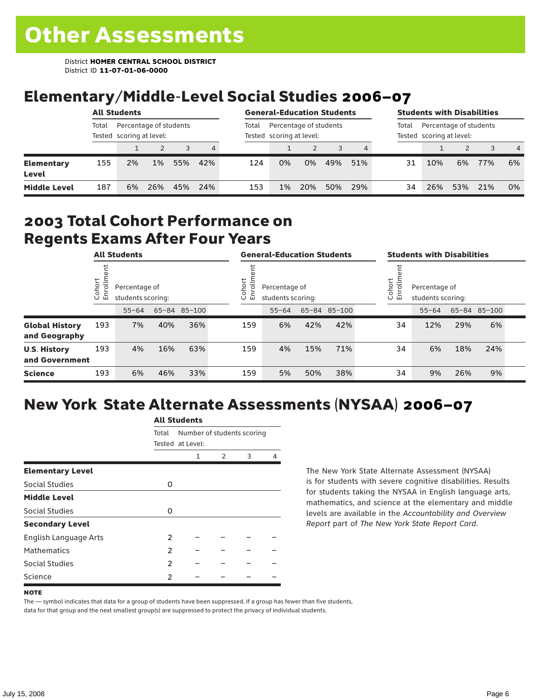# Elementary/Middle-Level Social Studies 2006–07

| <b>All Students</b>        |       |                                                    |       |     | <b>General-Education Students</b> |       |                                                    |     |     | <b>Students with Disabilities</b> |       |                                                    |     |     |                |  |
|----------------------------|-------|----------------------------------------------------|-------|-----|-----------------------------------|-------|----------------------------------------------------|-----|-----|-----------------------------------|-------|----------------------------------------------------|-----|-----|----------------|--|
|                            | Total | Percentage of students<br>Tested scoring at level: |       |     |                                   | Total | Percentage of students<br>Tested scoring at level: |     |     |                                   | Total | Percentage of students<br>Tested scoring at level: |     |     |                |  |
|                            |       |                                                    |       |     | 4                                 |       |                                                    |     |     |                                   |       |                                                    |     |     | $\overline{4}$ |  |
| <b>Elementary</b><br>Level | 155   | 2%                                                 | $1\%$ | 55% | 42%                               | 124   | 0%                                                 | 0%  | 49% | 51%                               | 31    | 10%                                                | 6%  | 77% | 6%             |  |
| <b>Middle Level</b>        | 187   | 6%                                                 | 26%   | 45% | 24%                               | 153   | $1\%$                                              | 20% | 50% | 29%                               | 34    | 26%                                                | 53% | 21% | 0%             |  |

#### 2003 Total Cohort Performance on Regents Exams After Four Years

| <b>All Students</b>                    |                             | <b>General-Education Students</b> |                                    |              |  | <b>Students with Disabilities</b>                            |           |     |              |                                                                |           |     |              |  |
|----------------------------------------|-----------------------------|-----------------------------------|------------------------------------|--------------|--|--------------------------------------------------------------|-----------|-----|--------------|----------------------------------------------------------------|-----------|-----|--------------|--|
|                                        | Cohort<br>=<br>$\circ$<br>面 |                                   | Percentage of<br>students scoring: |              |  | Cohort<br>Ξ<br>Percentage of<br>ò,<br>모<br>students scoring: |           |     |              | Cohort<br>$=$<br>Percentage of<br>Ò,<br>문<br>students scoring: |           |     |              |  |
|                                        |                             | $55 - 64$                         |                                    | 65-84 85-100 |  |                                                              | $55 - 64$ |     | 65-84 85-100 |                                                                | $55 - 64$ |     | 65-84 85-100 |  |
| <b>Global History</b><br>and Geography | 193                         | 7%                                | 40%                                | 36%          |  | 159                                                          | 6%        | 42% | 42%          | 34                                                             | 12%       | 29% | 6%           |  |
| <b>U.S. History</b><br>and Government  | 193                         | 4%                                | 16%                                | 63%          |  | 159                                                          | 4%        | 15% | 71%          | 34                                                             | 6%        | 18% | 24%          |  |
| <b>Science</b>                         | 193                         | 6%                                | 46%                                | 33%          |  | 159                                                          | 5%        | 50% | 38%          | 34                                                             | 9%        | 26% | 9%           |  |

## New York State Alternate Assessments (NYSAA) 2006–07

|                         | AIL SLUUEIILS |                  |                            |   |   |  |  |  |  |
|-------------------------|---------------|------------------|----------------------------|---|---|--|--|--|--|
|                         | Total         |                  | Number of students scoring |   |   |  |  |  |  |
|                         |               | Tested at Level: |                            |   |   |  |  |  |  |
|                         |               | 1                | 2                          | 3 | 4 |  |  |  |  |
| <b>Elementary Level</b> |               |                  |                            |   |   |  |  |  |  |
| Social Studies          | 0             |                  |                            |   |   |  |  |  |  |
| <b>Middle Level</b>     |               |                  |                            |   |   |  |  |  |  |
| Social Studies          | 0             |                  |                            |   |   |  |  |  |  |
| <b>Secondary Level</b>  |               |                  |                            |   |   |  |  |  |  |
| English Language Arts   | 2             |                  |                            |   |   |  |  |  |  |
| <b>Mathematics</b>      | 2             |                  |                            |   |   |  |  |  |  |
| Social Studies          | 2             |                  |                            |   |   |  |  |  |  |
| Science                 | 2             |                  |                            |   |   |  |  |  |  |

All C<sub>tude</sub>

The New York State Alternate Assessment (NYSAA) is for students with severe cognitive disabilities. Results for students taking the NYSAA in English language arts, mathematics, and science at the elementary and middle levels are available in the *Accountability and Overview Report* part of *The New York State Report Card*.

The — symbol indicates that data for a group of students have been suppressed. If a group has fewer than five students, data for that group and the next smallest group(s) are suppressed to protect the privacy of individual students.

**NOTE**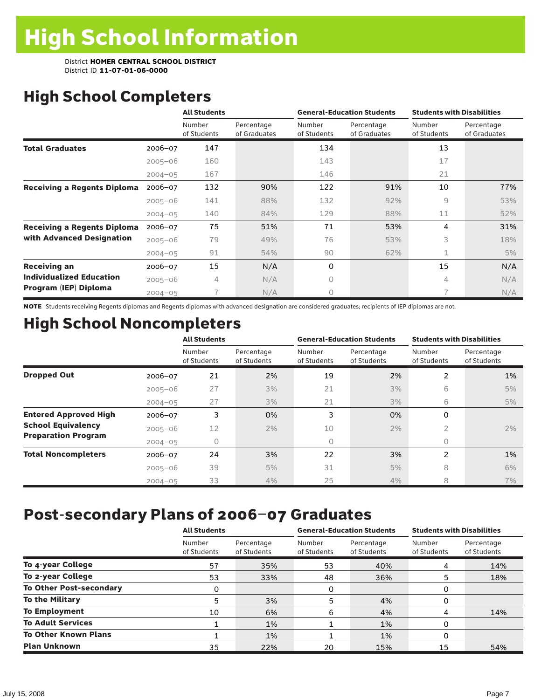# High School Completers

|                                    |             | <b>All Students</b>   |                            |                       | <b>General-Education Students</b> | <b>Students with Disabilities</b> |                            |  |
|------------------------------------|-------------|-----------------------|----------------------------|-----------------------|-----------------------------------|-----------------------------------|----------------------------|--|
|                                    |             | Number<br>of Students | Percentage<br>of Graduates | Number<br>of Students | Percentage<br>of Graduates        | Number<br>of Students             | Percentage<br>of Graduates |  |
| <b>Total Graduates</b>             | $2006 - 07$ | 147                   |                            | 134                   |                                   | 13                                |                            |  |
|                                    | $2005 - 06$ | 160                   |                            | 143                   |                                   | 17                                |                            |  |
|                                    | $2004 - 05$ | 167                   |                            | 146                   |                                   | 21                                |                            |  |
| <b>Receiving a Regents Diploma</b> | $2006 - 07$ | 132                   | 90%                        | 122                   | 91%                               | 10                                | 77%                        |  |
|                                    | $2005 - 06$ | 141                   | 88%                        | 132                   | 92%                               | 9                                 | 53%                        |  |
|                                    | $2004 - 05$ | 140                   | 84%                        | 129                   | 88%                               | 11                                | 52%                        |  |
| <b>Receiving a Regents Diploma</b> | $2006 - 07$ | 75                    | 51%                        | 71                    | 53%                               | 4                                 | 31%                        |  |
| with Advanced Designation          | $2005 - 06$ | 79                    | 49%                        | 76                    | 53%                               | 3                                 | 18%                        |  |
|                                    | $2004 - 05$ | 91                    | 54%                        | 90                    | 62%                               | 1                                 | 5%                         |  |
| <b>Receiving an</b>                | $2006 - 07$ | 15                    | N/A                        | 0                     |                                   | 15                                | N/A                        |  |
| <b>Individualized Education</b>    | $2005 - 06$ | 4                     | N/A                        | 0                     |                                   | 4                                 | N/A                        |  |
| Program (IEP) Diploma              | $2004 - 05$ |                       | N/A                        | 0                     |                                   | $\overline{\phantom{1}}$          | N/A                        |  |

NOTE Students receiving Regents diplomas and Regents diplomas with advanced designation are considered graduates; recipients of IEP diplomas are not.

# High School Noncompleters

|                              |             | <b>All Students</b>   |                           |                       | <b>General-Education Students</b> | <b>Students with Disabilities</b> |                           |  |
|------------------------------|-------------|-----------------------|---------------------------|-----------------------|-----------------------------------|-----------------------------------|---------------------------|--|
|                              |             | Number<br>of Students | Percentage<br>of Students | Number<br>of Students | Percentage<br>of Students         | Number<br>of Students             | Percentage<br>of Students |  |
| <b>Dropped Out</b>           | 2006-07     | 21                    | 2%                        | 19                    | 2%                                | 2                                 | 1%                        |  |
|                              | $2005 - 06$ | 27                    | 3%                        | 21                    | 3%                                | 6                                 | 5%                        |  |
|                              | $2004 - 05$ | 27                    | 3%                        | 21                    | 3%                                | 6                                 | 5%                        |  |
| <b>Entered Approved High</b> | $2006 - 07$ | 3                     | 0%                        | 3                     | 0%                                | 0                                 |                           |  |
| <b>School Equivalency</b>    | $2005 - 06$ | 12                    | 2%                        | 10                    | 2%                                | 2                                 | 2%                        |  |
| <b>Preparation Program</b>   | $2004 - 05$ | 0                     |                           | 0                     |                                   | 0                                 |                           |  |
| <b>Total Noncompleters</b>   | 2006-07     | 24                    | 3%                        | 22                    | 3%                                | 2                                 | 1%                        |  |
|                              | $2005 - 06$ | 39                    | 5%                        | 31                    | 5%                                | 8                                 | 6%                        |  |
|                              | $2004 - 05$ | 33                    | 4%                        | 25                    | 4%                                | 8                                 | 7%                        |  |

## Post-secondary Plans of 2006–07 Graduates

|                                | <b>All Students</b>   |                           |                       | <b>General-Education Students</b> | <b>Students with Disabilities</b> |                           |  |
|--------------------------------|-----------------------|---------------------------|-----------------------|-----------------------------------|-----------------------------------|---------------------------|--|
|                                | Number<br>of Students | Percentage<br>of Students | Number<br>of Students | Percentage<br>of Students         | Number<br>of Students             | Percentage<br>of Students |  |
| To 4-year College              | 57                    | 35%                       | 53                    | 40%                               | 4                                 | 14%                       |  |
| To 2-year College              | 53                    | 33%                       | 48                    | 36%                               | 5                                 | 18%                       |  |
| <b>To Other Post-secondary</b> | 0                     |                           | 0                     |                                   | 0                                 |                           |  |
| <b>To the Military</b>         | 5                     | 3%                        | 5                     | 4%                                | 0                                 |                           |  |
| <b>To Employment</b>           | 10                    | 6%                        | 6                     | 4%                                | 4                                 | 14%                       |  |
| <b>To Adult Services</b>       |                       | 1%                        |                       | 1%                                | 0                                 |                           |  |
| <b>To Other Known Plans</b>    |                       | 1%                        |                       | $1\%$                             | 0                                 |                           |  |
| <b>Plan Unknown</b>            | 35                    | 22%                       | 20                    | 15%                               | 15                                | 54%                       |  |